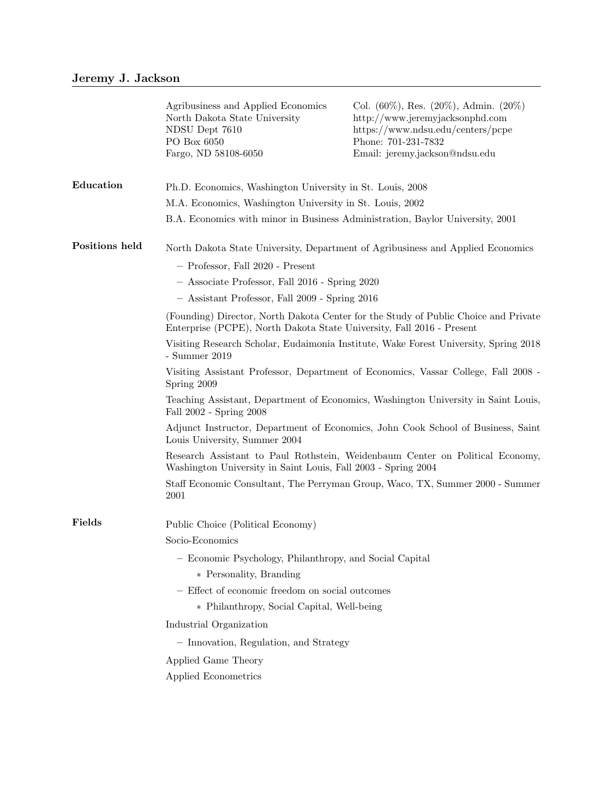|                | Agribusiness and Applied Economics<br>North Dakota State University<br>NDSU Dept 7610<br>PO Box 6050<br>Fargo, ND 58108-6050                                 | Col. $(60\%)$ , Res. $(20\%)$ , Admin. $(20\%)$<br>http://www.jeremyjacksonphd.com<br>https://www.ndsu.edu/centers/pcpe<br>Phone: 701-231-7832<br>Email: jeremy.jackson@ndsu.edu |  |
|----------------|--------------------------------------------------------------------------------------------------------------------------------------------------------------|----------------------------------------------------------------------------------------------------------------------------------------------------------------------------------|--|
| Education      | Ph.D. Economics, Washington University in St. Louis, 2008                                                                                                    |                                                                                                                                                                                  |  |
|                | M.A. Economics, Washington University in St. Louis, 2002                                                                                                     |                                                                                                                                                                                  |  |
|                |                                                                                                                                                              | B.A. Economics with minor in Business Administration, Baylor University, 2001                                                                                                    |  |
| Positions held |                                                                                                                                                              | North Dakota State University, Department of Agribusiness and Applied Economics                                                                                                  |  |
|                | - Professor, Fall 2020 - Present                                                                                                                             |                                                                                                                                                                                  |  |
|                | - Associate Professor, Fall 2016 - Spring 2020                                                                                                               |                                                                                                                                                                                  |  |
|                | - Assistant Professor, Fall 2009 - Spring 2016                                                                                                               |                                                                                                                                                                                  |  |
|                | (Founding) Director, North Dakota Center for the Study of Public Choice and Private<br>Enterprise (PCPE), North Dakota State University, Fall 2016 - Present |                                                                                                                                                                                  |  |
|                | Visiting Research Scholar, Eudaimonia Institute, Wake Forest University, Spring 2018<br>$-$ Summer 2019                                                      |                                                                                                                                                                                  |  |
|                | Visiting Assistant Professor, Department of Economics, Vassar College, Fall 2008 -<br>Spring 2009                                                            |                                                                                                                                                                                  |  |
|                | Teaching Assistant, Department of Economics, Washington University in Saint Louis,<br>Fall 2002 - Spring 2008                                                |                                                                                                                                                                                  |  |
|                | Adjunct Instructor, Department of Economics, John Cook School of Business, Saint<br>Louis University, Summer 2004                                            |                                                                                                                                                                                  |  |
|                | Research Assistant to Paul Rothstein, Weidenbaum Center on Political Economy,<br>Washington University in Saint Louis, Fall 2003 - Spring 2004               |                                                                                                                                                                                  |  |
|                | Staff Economic Consultant, The Perryman Group, Waco, TX, Summer 2000 - Summer<br>2001                                                                        |                                                                                                                                                                                  |  |
| Fields         | Public Choice (Political Economy)                                                                                                                            |                                                                                                                                                                                  |  |
|                | Socio-Economics                                                                                                                                              |                                                                                                                                                                                  |  |
|                | - Economic Psychology, Philanthropy, and Social Capital                                                                                                      |                                                                                                                                                                                  |  |
|                | * Personality, Branding                                                                                                                                      |                                                                                                                                                                                  |  |
|                | - Effect of economic freedom on social outcomes                                                                                                              |                                                                                                                                                                                  |  |
|                | * Philanthropy, Social Capital, Well-being                                                                                                                   |                                                                                                                                                                                  |  |
|                | Industrial Organization                                                                                                                                      |                                                                                                                                                                                  |  |
|                | - Innovation, Regulation, and Strategy                                                                                                                       |                                                                                                                                                                                  |  |
|                | Applied Game Theory                                                                                                                                          |                                                                                                                                                                                  |  |
|                | Applied Econometrics                                                                                                                                         |                                                                                                                                                                                  |  |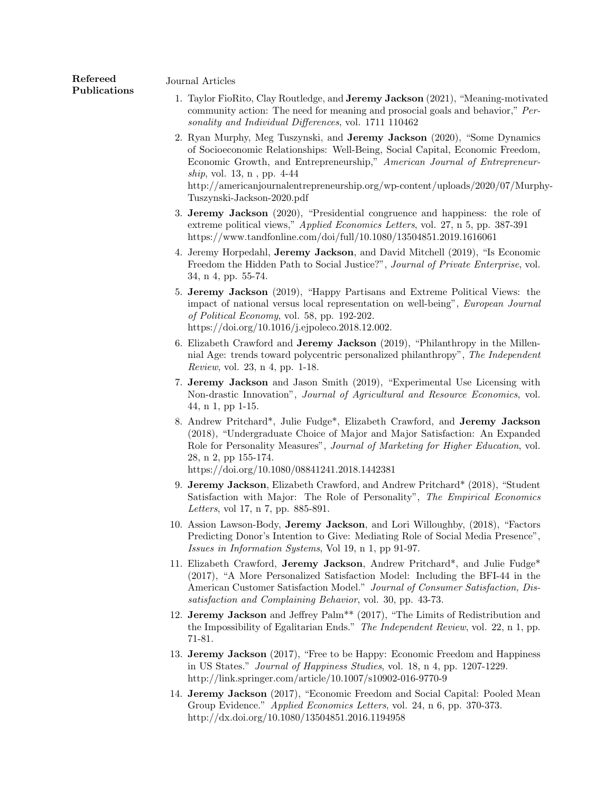Journal Articles

Refereed Publications

- 1. Taylor FioRito, Clay Routledge, and **Jeremy Jackson** (2021), "Meaning-motivated community action: The need for meaning and prosocial goals and behavior," Personality and Individual Differences, vol. 1711 110462
- 2. Ryan Murphy, Meg Tuszynski, and Jeremy Jackson (2020), "Some Dynamics of Socioeconomic Relationships: Well-Being, Social Capital, Economic Freedom, Economic Growth, and Entrepreneurship," American Journal of Entrepreneurship, vol. 13, n , pp. 4-44 http://americanjournalentrepreneurship.org/wp-content/uploads/2020/07/Murphy-Tuszynski-Jackson-2020.pdf
- 3. Jeremy Jackson (2020), "Presidential congruence and happiness: the role of extreme political views," Applied Economics Letters, vol. 27, n 5, pp. 387-391 https://www.tandfonline.com/doi/full/10.1080/13504851.2019.1616061
- 4. Jeremy Horpedahl, Jeremy Jackson, and David Mitchell (2019), "Is Economic Freedom the Hidden Path to Social Justice?", Journal of Private Enterprise, vol. 34, n 4, pp. 55-74.
- 5. Jeremy Jackson (2019), "Happy Partisans and Extreme Political Views: the impact of national versus local representation on well-being", European Journal of Political Economy, vol. 58, pp. 192-202. https://doi.org/10.1016/j.ejpoleco.2018.12.002.
- 6. Elizabeth Crawford and Jeremy Jackson (2019), "Philanthropy in the Millennial Age: trends toward polycentric personalized philanthropy", The Independent Review, vol. 23, n 4, pp. 1-18.
- 7. Jeremy Jackson and Jason Smith (2019), "Experimental Use Licensing with Non-drastic Innovation", Journal of Agricultural and Resource Economics, vol. 44, n 1, pp 1-15.
- 8. Andrew Pritchard\*, Julie Fudge\*, Elizabeth Crawford, and Jeremy Jackson (2018), "Undergraduate Choice of Major and Major Satisfaction: An Expanded Role for Personality Measures", Journal of Marketing for Higher Education, vol. 28, n 2, pp 155-174.

https://doi.org/10.1080/08841241.2018.1442381

- 9. Jeremy Jackson, Elizabeth Crawford, and Andrew Pritchard\* (2018), "Student Satisfaction with Major: The Role of Personality", The Empirical Economics Letters, vol 17, n 7, pp. 885-891.
- 10. Assion Lawson-Body, Jeremy Jackson, and Lori Willoughby, (2018), "Factors Predicting Donor's Intention to Give: Mediating Role of Social Media Presence", Issues in Information Systems, Vol 19, n 1, pp 91-97.
- 11. Elizabeth Crawford, Jeremy Jackson, Andrew Pritchard\*, and Julie Fudge\* (2017), "A More Personalized Satisfaction Model: Including the BFI-44 in the American Customer Satisfaction Model." Journal of Consumer Satisfaction, Dissatisfaction and Complaining Behavior, vol. 30, pp. 43-73.
- 12. Jeremy Jackson and Jeffrey Palm\*\* (2017), "The Limits of Redistribution and the Impossibility of Egalitarian Ends." The Independent Review, vol. 22, n 1, pp. 71-81.
- 13. Jeremy Jackson (2017), "Free to be Happy: Economic Freedom and Happiness in US States." Journal of Happiness Studies, vol. 18, n 4, pp. 1207-1229. http://link.springer.com/article/10.1007/s10902-016-9770-9
- 14. Jeremy Jackson (2017), "Economic Freedom and Social Capital: Pooled Mean Group Evidence." Applied Economics Letters, vol. 24, n 6, pp. 370-373. http://dx.doi.org/10.1080/13504851.2016.1194958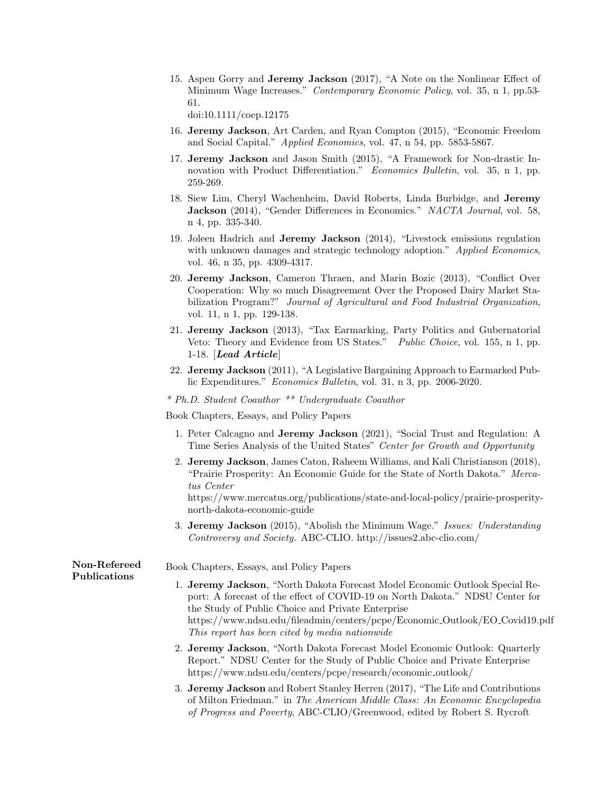15. Aspen Gorry and Jeremy Jackson (2017), "A Note on the Nonlinear Effect of Minimum Wage Increases." Contemporary Economic Policy, vol. 35, n 1, pp.53-61.

doi:10.1111/coep.12175

- 16. Jeremy Jackson, Art Carden, and Ryan Compton (2015), "Economic Freedom and Social Capital." Applied Economics, vol. 47, n 54, pp. 5853-5867.
- 17. Jeremy Jackson and Jason Smith (2015), "A Framework for Non-drastic Innovation with Product Differentiation." Economics Bulletin, vol. 35, n 1, pp. 259-269.
- 18. Siew Lim, Cheryl Wachenheim, David Roberts, Linda Burbidge, and Jeremy Jackson (2014), "Gender Differences in Economics." NACTA Journal, vol. 58, n 4, pp. 335-340.
- 19. Joleen Hadrich and Jeremy Jackson (2014), "Livestock emissions regulation with unknown damages and strategic technology adoption." Applied Economics, vol. 46, n 35, pp. 4309-4317.
- 20. Jeremy Jackson, Cameron Thraen, and Marin Bozic (2013), "Conflict Over Cooperation: Why so much Disagreement Over the Proposed Dairy Market Stabilization Program?" Journal of Agricultural and Food Industrial Organization, vol. 11, n 1, pp. 129-138.
- 21. Jeremy Jackson (2013), "Tax Earmarking, Party Politics and Gubernatorial Veto: Theory and Evidence from US States." Public Choice, vol. 155, n 1, pp. 1-18. [Lead Article]
- 22. Jeremy Jackson (2011), "A Legislative Bargaining Approach to Earmarked Public Expenditures." Economics Bulletin, vol. 31, n 3, pp. 2006-2020.
- \* Ph.D. Student Coauthor \*\* Undergraduate Coauthor

Book Chapters, Essays, and Policy Papers

- 1. Peter Calcagno and Jeremy Jackson (2021), "Social Trust and Regulation: A Time Series Analysis of the United States" Center for Growth and Opportunity
- 2. Jeremy Jackson, James Caton, Raheem Williams, and Kali Christianson (2018), "Prairie Prosperity: An Economic Guide for the State of North Dakota." Mercatus Center

https://www.mercatus.org/publications/state-and-local-policy/prairie-prosperitynorth-dakota-economic-guide

3. Jeremy Jackson (2015), "Abolish the Minimum Wage." Issues: Understanding Controversy and Society. ABC-CLIO. http://issues2.abc-clio.com/

| Non-Refereed<br>Publications | Book Chapters, Essays, and Policy Papers<br>1. Jeremy Jackson, "North Dakota Forecast Model Economic Outlook Special Re-<br>port: A forecast of the effect of COVID-19 on North Dakota." NDSU Center for<br>the Study of Public Choice and Private Enterprise<br>https://www.ndsu.edu/fileadmin/centers/pcpe/Economic_Outlook/EO_Covid19.pdf<br>This report has been cited by media nationwide |
|------------------------------|------------------------------------------------------------------------------------------------------------------------------------------------------------------------------------------------------------------------------------------------------------------------------------------------------------------------------------------------------------------------------------------------|
|                              | 2. Jeremy Jackson, "North Dakota Forecast Model Economic Outlook: Quarterly<br>Report." NDSU Center for the Study of Public Choice and Private Enterprise<br>https://www.ndsu.edu/centers/pcpe/research/economic_outlook/                                                                                                                                                                      |
|                              | 3. Jeremy Jackson and Robert Stanley Herren (2017), "The Life and Contributions<br>of Milton Friedman." in The American Middle Class: An Economic Encyclopedia                                                                                                                                                                                                                                 |

of Progress and Poverty, ABC-CLIO/Greenwood, edited by Robert S. Rycroft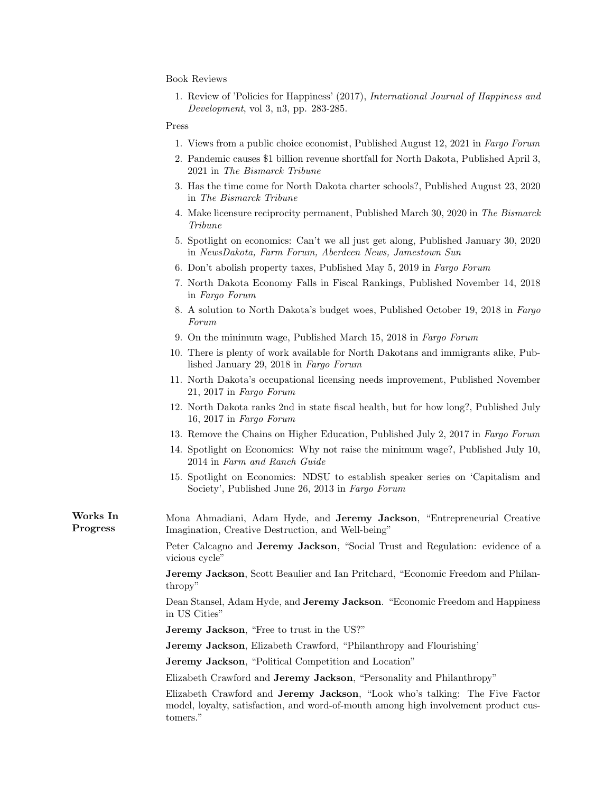Book Reviews

1. Review of 'Policies for Happiness' (2017), International Journal of Happiness and Development, vol 3, n3, pp. 283-285.

#### Press

- 1. Views from a public choice economist, Published August 12, 2021 in Fargo Forum
- 2. Pandemic causes \$1 billion revenue shortfall for North Dakota, Published April 3, 2021 in The Bismarck Tribune
- 3. Has the time come for North Dakota charter schools?, Published August 23, 2020 in The Bismarck Tribune
- 4. Make licensure reciprocity permanent, Published March 30, 2020 in The Bismarck Tribune
- 5. Spotlight on economics: Can't we all just get along, Published January 30, 2020 in NewsDakota, Farm Forum, Aberdeen News, Jamestown Sun
- 6. Don't abolish property taxes, Published May 5, 2019 in Fargo Forum
- 7. North Dakota Economy Falls in Fiscal Rankings, Published November 14, 2018 in Fargo Forum
- 8. A solution to North Dakota's budget woes, Published October 19, 2018 in Fargo Forum
- 9. On the minimum wage, Published March 15, 2018 in Fargo Forum
- 10. There is plenty of work available for North Dakotans and immigrants alike, Published January 29, 2018 in Fargo Forum
- 11. North Dakota's occupational licensing needs improvement, Published November 21, 2017 in Fargo Forum
- 12. North Dakota ranks 2nd in state fiscal health, but for how long?, Published July 16, 2017 in Fargo Forum
- 13. Remove the Chains on Higher Education, Published July 2, 2017 in Fargo Forum
- 14. Spotlight on Economics: Why not raise the minimum wage?, Published July 10, 2014 in Farm and Ranch Guide
- 15. Spotlight on Economics: NDSU to establish speaker series on 'Capitalism and Society', Published June 26, 2013 in Fargo Forum

Works In Progress Mona Ahmadiani, Adam Hyde, and Jeremy Jackson, "Entrepreneurial Creative Imagination, Creative Destruction, and Well-being"

> Peter Calcagno and Jeremy Jackson, "Social Trust and Regulation: evidence of a vicious cycle"

> Jeremy Jackson, Scott Beaulier and Ian Pritchard, "Economic Freedom and Philanthropy"

> Dean Stansel, Adam Hyde, and **Jeremy Jackson**. "Economic Freedom and Happiness in US Cities"

Jeremy Jackson, "Free to trust in the US?"

Jeremy Jackson, Elizabeth Crawford, "Philanthropy and Flourishing'

Jeremy Jackson, "Political Competition and Location"

Elizabeth Crawford and Jeremy Jackson, "Personality and Philanthropy"

Elizabeth Crawford and Jeremy Jackson, "Look who's talking: The Five Factor model, loyalty, satisfaction, and word-of-mouth among high involvement product customers."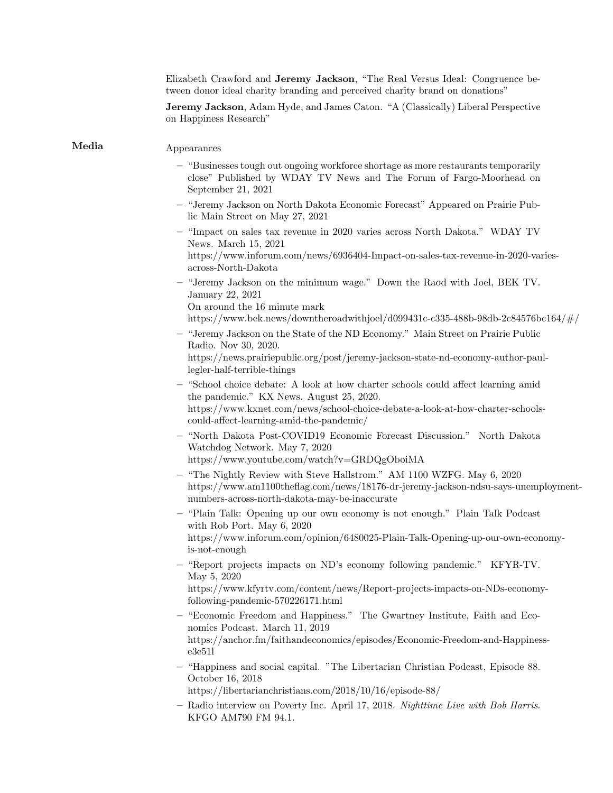| Elizabeth Crawford and Jeremy Jackson, "The Real Versus Ideal: Congruence be-<br>tween donor ideal charity branding and perceived charity brand on donations"                                                                                               |
|-------------------------------------------------------------------------------------------------------------------------------------------------------------------------------------------------------------------------------------------------------------|
| Jeremy Jackson, Adam Hyde, and James Caton. "A (Classically) Liberal Perspective<br>on Happiness Research"                                                                                                                                                  |
| Appearances                                                                                                                                                                                                                                                 |
| - "Businesses tough out ongoing workforce shortage as more restaurants temporarily<br>close" Published by WDAY TV News and The Forum of Fargo-Moorhead on<br>September 21, 2021                                                                             |
| - "Jeremy Jackson on North Dakota Economic Forecast" Appeared on Prairie Pub-<br>lic Main Street on May 27, 2021                                                                                                                                            |
| - "Impact on sales tax revenue in 2020 varies across North Dakota." WDAY TV<br>News. March 15, 2021<br>https://www.inforum.com/news/6936404-Impact-on-sales-tax-revenue-in-2020-varies-<br>across-North-Dakota                                              |
| - "Jeremy Jackson on the minimum wage." Down the Raod with Joel, BEK TV.<br>January 22, 2021<br>On around the 16 minute mark<br>https://www.bek.news/downtheroadwithjoel/d099431c-c335-488b-98db-2c84576bc164/ $\#/$                                        |
| - "Jeremy Jackson on the State of the ND Economy." Main Street on Prairie Public<br>Radio. Nov 30, 2020.<br>https://news.prairiepublic.org/post/jeremy-jackson-state-nd-economy-author-paul-<br>legler-half-terrible-things                                 |
| - "School choice debate: A look at how charter schools could affect learning amid<br>the pandemic." KX News. August 25, 2020.<br>https://www.kxnet.com/news/school-choice-debate-a-look-at-how-charter-schools-<br>could-affect-learning-amid-the-pandemic/ |
| - "North Dakota Post-COVID19 Economic Forecast Discussion." North Dakota<br>Watchdog Network. May 7, 2020<br>https://www.youtube.com/watch?v=GRDQgOboiMA                                                                                                    |
| - "The Nightly Review with Steve Hallstrom." AM 1100 WZFG. May 6, 2020<br>https://www.am1100theflag.com/news/18176-dr-jeremy-jackson-ndsu-says-unemployment-<br>numbers-across-north-dakota-may-be-inaccurate                                               |
| - "Plain Talk: Opening up our own economy is not enough." Plain Talk Podcast<br>with Rob Port. May 6, 2020<br>https://www.inforum.com/opinion/6480025-Plain-Talk-Opening-up-our-own-economy-<br>is-not-enough                                               |
| - "Report projects impacts on ND's economy following pandemic." KFYR-TV.<br>May 5, 2020<br>https://www.kfyrtv.com/content/news/Report-projects-impacts-on-NDs-economy-<br>following-pandemic-570226171.html                                                 |
| - "Economic Freedom and Happiness." The Gwartney Institute, Faith and Eco-<br>nomics Podcast. March 11, 2019<br>https://anchor.fm/faithandeconomics/episodes/Economic-Freedom-and-Happiness-<br>e3e511                                                      |
| - "Happiness and social capital. "The Libertarian Christian Podcast, Episode 88.<br>October 16, 2018<br>https://libertarianchristians.com/2018/10/16/episode-88/                                                                                            |
| - Radio interview on Poverty Inc. April 17, 2018. Nighttime Live with Bob Harris.<br>KFGO AM790 FM 94.1.                                                                                                                                                    |

 $\bf Media$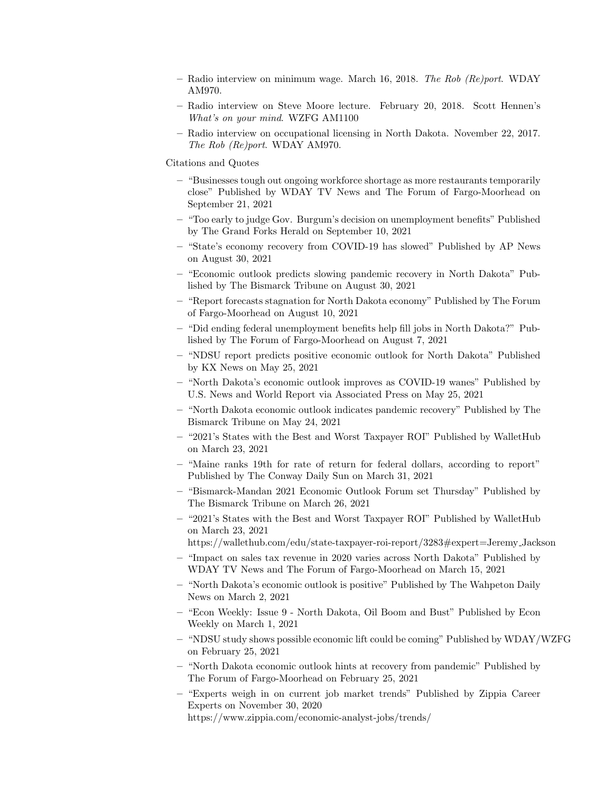- Radio interview on minimum wage. March 16, 2018. The Rob (Re)port. WDAY AM970.
- Radio interview on Steve Moore lecture. February 20, 2018. Scott Hennen's What's on your mind. WZFG AM1100
- Radio interview on occupational licensing in North Dakota. November 22, 2017. The Rob (Re)port. WDAY AM970.

Citations and Quotes

- "Businesses tough out ongoing workforce shortage as more restaurants temporarily close" Published by WDAY TV News and The Forum of Fargo-Moorhead on September 21, 2021
- "Too early to judge Gov. Burgum's decision on unemployment benefits" Published by The Grand Forks Herald on September 10, 2021
- "State's economy recovery from COVID-19 has slowed" Published by AP News on August 30, 2021
- "Economic outlook predicts slowing pandemic recovery in North Dakota" Published by The Bismarck Tribune on August 30, 2021
- "Report forecasts stagnation for North Dakota economy" Published by The Forum of Fargo-Moorhead on August 10, 2021
- "Did ending federal unemployment benefits help fill jobs in North Dakota?" Published by The Forum of Fargo-Moorhead on August 7, 2021
- "NDSU report predicts positive economic outlook for North Dakota" Published by KX News on May 25, 2021
- "North Dakota's economic outlook improves as COVID-19 wanes" Published by U.S. News and World Report via Associated Press on May 25, 2021
- "North Dakota economic outlook indicates pandemic recovery" Published by The Bismarck Tribune on May 24, 2021
- "2021's States with the Best and Worst Taxpayer ROI" Published by WalletHub on March 23, 2021
- "Maine ranks 19th for rate of return for federal dollars, according to report" Published by The Conway Daily Sun on March 31, 2021
- "Bismarck-Mandan 2021 Economic Outlook Forum set Thursday" Published by The Bismarck Tribune on March 26, 2021
- "2021's States with the Best and Worst Taxpayer ROI" Published by WalletHub on March 23, 2021

https://wallethub.com/edu/state-taxpayer-roi-report/3283#expert=Jeremy Jackson

- "Impact on sales tax revenue in 2020 varies across North Dakota" Published by WDAY TV News and The Forum of Fargo-Moorhead on March 15, 2021
- "North Dakota's economic outlook is positive" Published by The Wahpeton Daily News on March 2, 2021
- "Econ Weekly: Issue 9 North Dakota, Oil Boom and Bust" Published by Econ Weekly on March 1, 2021
- "NDSU study shows possible economic lift could be coming" Published by WDAY/WZFG on February 25, 2021
- "North Dakota economic outlook hints at recovery from pandemic" Published by The Forum of Fargo-Moorhead on February 25, 2021
- "Experts weigh in on current job market trends" Published by Zippia Career Experts on November 30, 2020 https://www.zippia.com/economic-analyst-jobs/trends/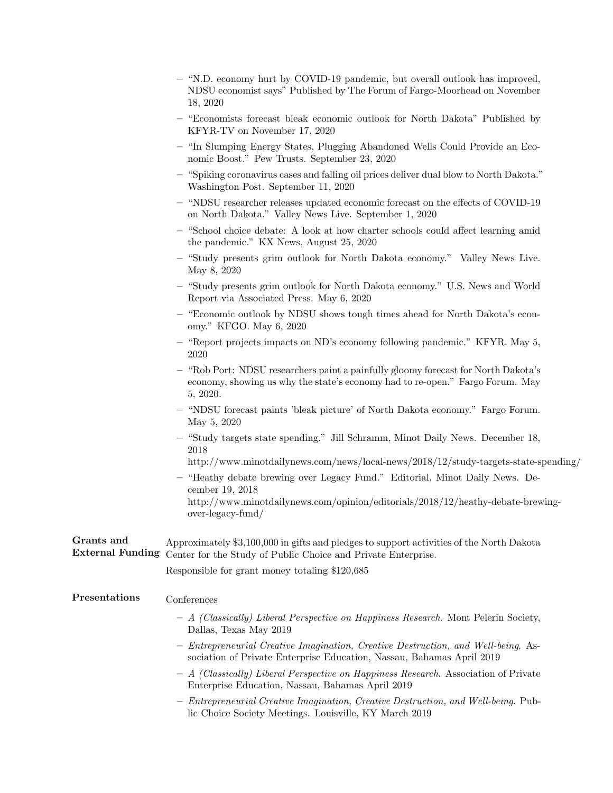|                                       | - "N.D. economy hurt by COVID-19 pandemic, but overall outlook has improved,<br>NDSU economist says" Published by The Forum of Fargo-Moorhead on November<br>18, 2020           |
|---------------------------------------|---------------------------------------------------------------------------------------------------------------------------------------------------------------------------------|
|                                       | - "Economists forecast bleak economic outlook for North Dakota" Published by<br>KFYR-TV on November 17, 2020                                                                    |
|                                       | - "In Slumping Energy States, Plugging Abandoned Wells Could Provide an Eco-<br>nomic Boost." Pew Trusts. September 23, 2020                                                    |
|                                       | - "Spiking coronavirus cases and falling oil prices deliver dual blow to North Dakota."<br>Washington Post. September 11, 2020                                                  |
|                                       | "NDSU researcher releases updated economic forecast on the effects of COVID-19<br>on North Dakota." Valley News Live. September 1, 2020                                         |
|                                       | - "School choice debate: A look at how charter schools could affect learning amid<br>the pandemic." KX News, August 25, 2020                                                    |
|                                       | - "Study presents grim outlook for North Dakota economy." Valley News Live.<br>May 8, 2020                                                                                      |
|                                       | - "Study presents grim outlook for North Dakota economy." U.S. News and World<br>Report via Associated Press. May 6, 2020                                                       |
|                                       | - "Economic outlook by NDSU shows tough times ahead for North Dakota's econ-<br>omy." KFGO. May 6, 2020                                                                         |
|                                       | - "Report projects impacts on ND's economy following pandemic." KFYR. May 5,<br>2020                                                                                            |
|                                       | - "Rob Port: NDSU researchers paint a painfully gloomy forecast for North Dakota's<br>economy, showing us why the state's economy had to re-open." Fargo Forum. May<br>5, 2020. |
|                                       | - "NDSU forecast paints 'bleak picture' of North Dakota economy." Fargo Forum.<br>May 5, 2020                                                                                   |
|                                       | - "Study targets state spending." Jill Schramm, Minot Daily News. December 18,<br>2018                                                                                          |
|                                       | http://www.minotdailynews.com/news/local-news/2018/12/study-targets-state-spending/                                                                                             |
|                                       | - "Heathy debate brewing over Legacy Fund." Editorial, Minot Daily News. De-<br>cember 19, 2018                                                                                 |
|                                       | http://www.minotdailynews.com/opinion/editorials/2018/12/heathy-debate-brewing-<br>over-legacy-fund/                                                                            |
| Grants and<br><b>External Funding</b> | Approximately \$3,100,000 in gifts and pledges to support activities of the North Dakota<br>Center for the Study of Public Choice and Private Enterprise.                       |
|                                       | Responsible for grant money totaling \$120,685                                                                                                                                  |
| Presentations                         | Conferences                                                                                                                                                                     |
|                                       | - A (Classically) Liberal Perspective on Happiness Research. Mont Pelerin Society,<br>Dallas, Texas May 2019                                                                    |
|                                       | - Entrepreneurial Creative Imagination, Creative Destruction, and Well-being. As-<br>sociation of Private Enterprise Education, Nassau, Bahamas April 2019                      |
|                                       | - A (Classically) Liberal Perspective on Happiness Research. Association of Private<br>Enterprise Education, Nassau, Bahamas April 2019                                         |
|                                       | - Entrepreneurial Creative Imagination, Creative Destruction, and Well-being. Pub-<br>lic Choice Society Meetings. Louisville, KY March 2019                                    |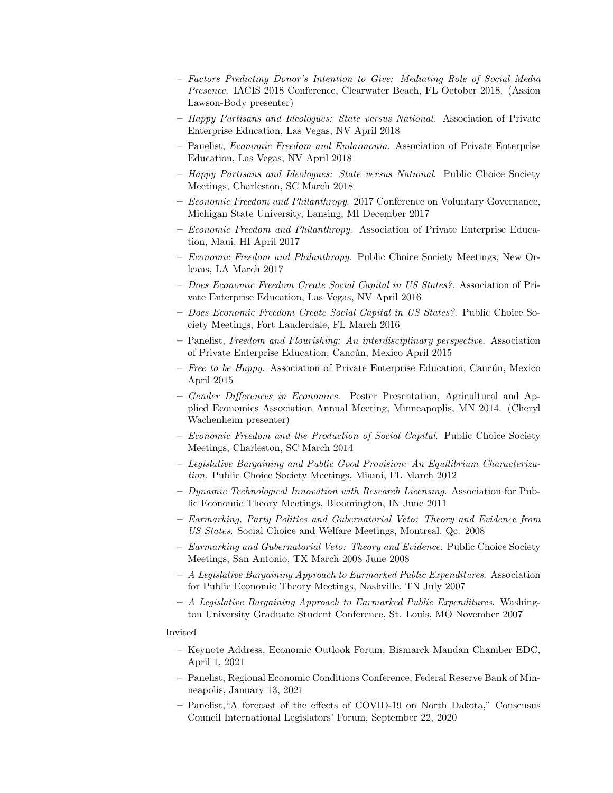- Factors Predicting Donor's Intention to Give: Mediating Role of Social Media Presence. IACIS 2018 Conference, Clearwater Beach, FL October 2018. (Assion Lawson-Body presenter)
- Happy Partisans and Ideologues: State versus National. Association of Private Enterprise Education, Las Vegas, NV April 2018
- Panelist, Economic Freedom and Eudaimonia. Association of Private Enterprise Education, Las Vegas, NV April 2018
- Happy Partisans and Ideologues: State versus National. Public Choice Society Meetings, Charleston, SC March 2018
- Economic Freedom and Philanthropy. 2017 Conference on Voluntary Governance, Michigan State University, Lansing, MI December 2017
- Economic Freedom and Philanthropy. Association of Private Enterprise Education, Maui, HI April 2017
- Economic Freedom and Philanthropy. Public Choice Society Meetings, New Orleans, LA March 2017
- Does Economic Freedom Create Social Capital in US States?. Association of Private Enterprise Education, Las Vegas, NV April 2016
- Does Economic Freedom Create Social Capital in US States?. Public Choice Society Meetings, Fort Lauderdale, FL March 2016
- Panelist, Freedom and Flourishing: An interdisciplinary perspective. Association of Private Enterprise Education, Cancún, Mexico April 2015
- $-$  Free to be Happy. Association of Private Enterprise Education, Cancún, Mexico April 2015
- Gender Differences in Economics. Poster Presentation, Agricultural and Applied Economics Association Annual Meeting, Minneapoplis, MN 2014. (Cheryl Wachenheim presenter)
- Economic Freedom and the Production of Social Capital. Public Choice Society Meetings, Charleston, SC March 2014
- Legislative Bargaining and Public Good Provision: An Equilibrium Characterization. Public Choice Society Meetings, Miami, FL March 2012
- Dynamic Technological Innovation with Research Licensing. Association for Public Economic Theory Meetings, Bloomington, IN June 2011
- Earmarking, Party Politics and Gubernatorial Veto: Theory and Evidence from US States. Social Choice and Welfare Meetings, Montreal, Qc. 2008
- Earmarking and Gubernatorial Veto: Theory and Evidence. Public Choice Society Meetings, San Antonio, TX March 2008 June 2008
- A Legislative Bargaining Approach to Earmarked Public Expenditures. Association for Public Economic Theory Meetings, Nashville, TN July 2007
- A Legislative Bargaining Approach to Earmarked Public Expenditures. Washington University Graduate Student Conference, St. Louis, MO November 2007

# Invited

- Keynote Address, Economic Outlook Forum, Bismarck Mandan Chamber EDC, April 1, 2021
- Panelist, Regional Economic Conditions Conference, Federal Reserve Bank of Minneapolis, January 13, 2021
- Panelist,"A forecast of the effects of COVID-19 on North Dakota," Consensus Council International Legislators' Forum, September 22, 2020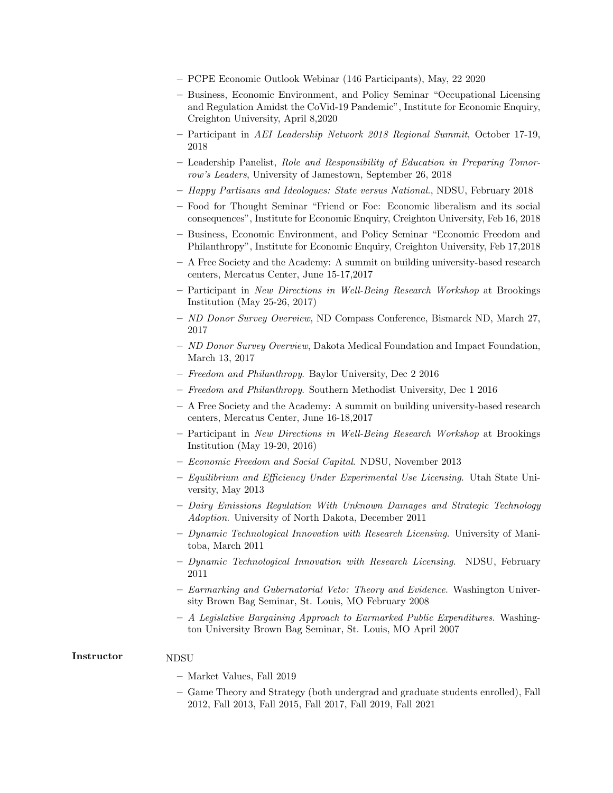- PCPE Economic Outlook Webinar (146 Participants), May, 22 2020
- Business, Economic Environment, and Policy Seminar "Occupational Licensing and Regulation Amidst the CoVid-19 Pandemic", Institute for Economic Enquiry, Creighton University, April 8,2020
- Participant in AEI Leadership Network 2018 Regional Summit, October 17-19, 2018
- Leadership Panelist, Role and Responsibility of Education in Preparing Tomorrow's Leaders, University of Jamestown, September 26, 2018
- Happy Partisans and Ideologues: State versus National., NDSU, February 2018
- Food for Thought Seminar "Friend or Foe: Economic liberalism and its social consequences", Institute for Economic Enquiry, Creighton University, Feb 16, 2018
- Business, Economic Environment, and Policy Seminar "Economic Freedom and Philanthropy", Institute for Economic Enquiry, Creighton University, Feb 17,2018
- A Free Society and the Academy: A summit on building university-based research centers, Mercatus Center, June 15-17,2017
- Participant in New Directions in Well-Being Research Workshop at Brookings Institution (May 25-26, 2017)
- ND Donor Survey Overview, ND Compass Conference, Bismarck ND, March 27, 2017
- $-$  ND Donor Survey Overview, Dakota Medical Foundation and Impact Foundation, March 13, 2017
- Freedom and Philanthropy. Baylor University, Dec 2 2016
- Freedom and Philanthropy. Southern Methodist University, Dec 1 2016
- A Free Society and the Academy: A summit on building university-based research centers, Mercatus Center, June 16-18,2017
- Participant in New Directions in Well-Being Research Workshop at Brookings Institution (May 19-20, 2016)
- Economic Freedom and Social Capital. NDSU, November 2013
- Equilibrium and Efficiency Under Experimental Use Licensing. Utah State University, May 2013
- Dairy Emissions Regulation With Unknown Damages and Strategic Technology Adoption. University of North Dakota, December 2011
- Dynamic Technological Innovation with Research Licensing. University of Manitoba, March 2011
- Dynamic Technological Innovation with Research Licensing. NDSU, February 2011
- Earmarking and Gubernatorial Veto: Theory and Evidence. Washington University Brown Bag Seminar, St. Louis, MO February 2008
- A Legislative Bargaining Approach to Earmarked Public Expenditures. Washington University Brown Bag Seminar, St. Louis, MO April 2007

# Instructor NDSU

- Market Values, Fall 2019
- Game Theory and Strategy (both undergrad and graduate students enrolled), Fall 2012, Fall 2013, Fall 2015, Fall 2017, Fall 2019, Fall 2021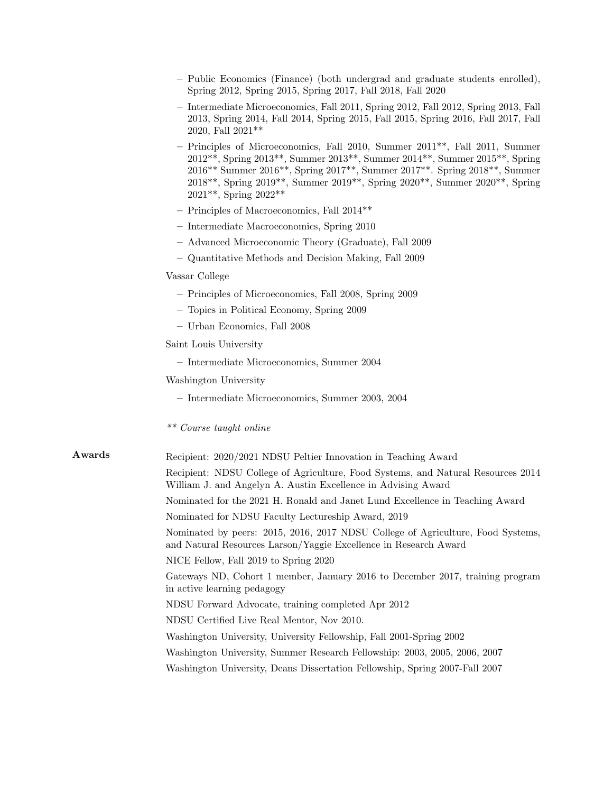|        | - Public Economics (Finance) (both undergrad and graduate students enrolled),<br>Spring 2012, Spring 2015, Spring 2017, Fall 2018, Fall 2020                                                                                                                                                                                                            |  |  |
|--------|---------------------------------------------------------------------------------------------------------------------------------------------------------------------------------------------------------------------------------------------------------------------------------------------------------------------------------------------------------|--|--|
|        | - Intermediate Microeconomics, Fall 2011, Spring 2012, Fall 2012, Spring 2013, Fall<br>2013, Spring 2014, Fall 2014, Spring 2015, Fall 2015, Spring 2016, Fall 2017, Fall<br>2020, Fall 2021**                                                                                                                                                          |  |  |
|        | $-$ Principles of Microeconomics, Fall 2010, Summer $2011**$ , Fall 2011, Summer<br>2012**, Spring 2013**, Summer 2013**, Summer 2014**, Summer 2015**, Spring<br>2016** Summer 2016**, Spring 2017**, Summer 2017**. Spring 2018**, Summer<br>2018**, Spring 2019**, Summer 2019**, Spring 2020**, Summer 2020**, Spring<br>$2021**$ , Spring $2022**$ |  |  |
|        | - Principles of Macroeconomics, Fall $2014**$                                                                                                                                                                                                                                                                                                           |  |  |
|        | - Intermediate Macroeconomics, Spring 2010                                                                                                                                                                                                                                                                                                              |  |  |
|        | - Advanced Microeconomic Theory (Graduate), Fall 2009                                                                                                                                                                                                                                                                                                   |  |  |
|        | - Quantitative Methods and Decision Making, Fall 2009                                                                                                                                                                                                                                                                                                   |  |  |
|        | Vassar College                                                                                                                                                                                                                                                                                                                                          |  |  |
|        | - Principles of Microeconomics, Fall 2008, Spring 2009                                                                                                                                                                                                                                                                                                  |  |  |
|        | - Topics in Political Economy, Spring 2009                                                                                                                                                                                                                                                                                                              |  |  |
|        | - Urban Economics, Fall 2008                                                                                                                                                                                                                                                                                                                            |  |  |
|        | Saint Louis University                                                                                                                                                                                                                                                                                                                                  |  |  |
|        | - Intermediate Microeconomics, Summer 2004                                                                                                                                                                                                                                                                                                              |  |  |
|        | Washington University                                                                                                                                                                                                                                                                                                                                   |  |  |
|        | - Intermediate Microeconomics, Summer 2003, 2004                                                                                                                                                                                                                                                                                                        |  |  |
|        | ** Course taught online                                                                                                                                                                                                                                                                                                                                 |  |  |
| Awards | Recipient: 2020/2021 NDSU Peltier Innovation in Teaching Award                                                                                                                                                                                                                                                                                          |  |  |
|        | Recipient: NDSU College of Agriculture, Food Systems, and Natural Resources 2014<br>William J. and Angelyn A. Austin Excellence in Advising Award                                                                                                                                                                                                       |  |  |
|        | Nominated for the 2021 H. Ronald and Janet Lund Excellence in Teaching Award                                                                                                                                                                                                                                                                            |  |  |
|        | Nominated for NDSU Faculty Lectureship Award, 2019                                                                                                                                                                                                                                                                                                      |  |  |
|        | Nominated by peers: 2015, 2016, 2017 NDSU College of Agriculture, Food Systems,<br>and Natural Resources Larson/Yaggie Excellence in Research Award                                                                                                                                                                                                     |  |  |
|        | NICE Fellow, Fall 2019 to Spring 2020                                                                                                                                                                                                                                                                                                                   |  |  |
|        | Gateways ND, Cohort 1 member, January 2016 to December 2017, training program<br>in active learning pedagogy                                                                                                                                                                                                                                            |  |  |
|        | NDSU Forward Advocate, training completed Apr 2012                                                                                                                                                                                                                                                                                                      |  |  |
|        | NDSU Certified Live Real Mentor, Nov 2010.                                                                                                                                                                                                                                                                                                              |  |  |
|        | Washington University, University Fellowship, Fall 2001-Spring 2002                                                                                                                                                                                                                                                                                     |  |  |
|        | Washington University, Summer Research Fellowship: 2003, 2005, 2006, 2007                                                                                                                                                                                                                                                                               |  |  |
|        | Washington University, Deans Dissertation Fellowship, Spring 2007-Fall 2007                                                                                                                                                                                                                                                                             |  |  |
|        |                                                                                                                                                                                                                                                                                                                                                         |  |  |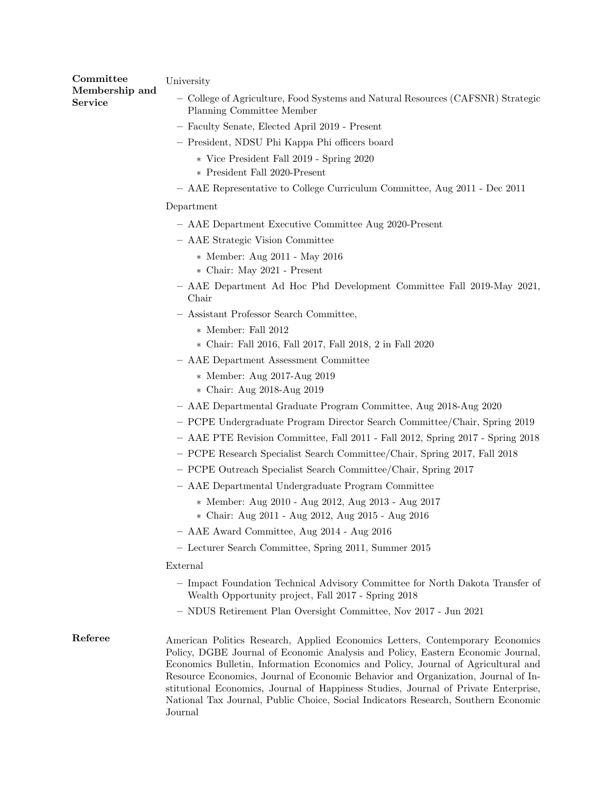| ${\rm Committee}$<br>Membership and | University                                                                                                   |
|-------------------------------------|--------------------------------------------------------------------------------------------------------------|
| Service                             | - College of Agriculture, Food Systems and Natural Resources (CAFSNR) Strategic<br>Planning Committee Member |

- Faculty Senate, Elected April 2019 Present
- President, NDSU Phi Kappa Phi officers board
	- ∗ Vice President Fall 2019 Spring 2020
	- ∗ President Fall 2020-Present
- AAE Representative to College Curriculum Committee, Aug 2011 Dec 2011

#### Department

- AAE Department Executive Committee Aug 2020-Present
- AAE Strategic Vision Committee
	- ∗ Member: Aug 2011 May 2016
	- ∗ Chair: May 2021 Present
- AAE Department Ad Hoc Phd Development Committee Fall 2019-May 2021, Chair
- Assistant Professor Search Committee,
	- ∗ Member: Fall 2012
	- ∗ Chair: Fall 2016, Fall 2017, Fall 2018, 2 in Fall 2020
- AAE Department Assessment Committee
	- ∗ Member: Aug 2017-Aug 2019
	- ∗ Chair: Aug 2018-Aug 2019
- AAE Departmental Graduate Program Committee, Aug 2018-Aug 2020
- PCPE Undergraduate Program Director Search Committee/Chair, Spring 2019
- AAE PTE Revision Committee, Fall 2011 Fall 2012, Spring 2017 Spring 2018
- PCPE Research Specialist Search Committee/Chair, Spring 2017, Fall 2018
- PCPE Outreach Specialist Search Committee/Chair, Spring 2017
- AAE Departmental Undergraduate Program Committee
	- ∗ Member: Aug 2010 Aug 2012, Aug 2013 Aug 2017
	- ∗ Chair: Aug 2011 Aug 2012, Aug 2015 Aug 2016
- AAE Award Committee, Aug 2014 Aug 2016
- Lecturer Search Committee, Spring 2011, Summer 2015

### External

- Impact Foundation Technical Advisory Committee for North Dakota Transfer of Wealth Opportunity project, Fall 2017 - Spring 2018
- NDUS Retirement Plan Oversight Committee, Nov 2017 Jun 2021
- Referee American Politics Research, Applied Economics Letters, Contemporary Economics Policy, DGBE Journal of Economic Analysis and Policy, Eastern Economic Journal, Economics Bulletin, Information Economics and Policy, Journal of Agricultural and Resource Economics, Journal of Economic Behavior and Organization, Journal of Institutional Economics, Journal of Happiness Studies, Journal of Private Enterprise, National Tax Journal, Public Choice, Social Indicators Research, Southern Economic Journal